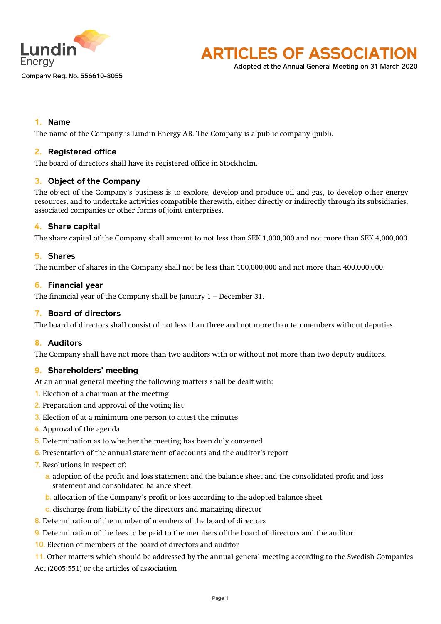



Adopted at the Annual General Meeting on 31 March 2020

### **1. Name**

The name of the Company is Lundin Energy AB. The Company is a public company (publ).

#### **2. Registered office**

The board of directors shall have its registered office in Stockholm.

#### **3. Object of the Company**

The object of the Company's business is to explore, develop and produce oil and gas, to develop other energy resources, and to undertake activities compatible therewith, either directly or indirectly through its subsidiaries, associated companies or other forms of joint enterprises.

## **4. Share capital**

The share capital of the Company shall amount to not less than SEK 1,000,000 and not more than SEK 4,000,000.

#### **5. Shares**

The number of shares in the Company shall not be less than 100,000,000 and not more than 400,000,000.

#### **6. Financial year**

The financial year of the Company shall be January 1 – December 31.

#### **7. Board of directors**

The board of directors shall consist of not less than three and not more than ten members without deputies.

#### **8. Auditors**

The Company shall have not more than two auditors with or without not more than two deputy auditors.

#### **9. Shareholders' meeting**

At an annual general meeting the following matters shall be dealt with:

- 1. Election of a chairman at the meeting
- 2. Preparation and approval of the voting list
- 3. Election of at a minimum one person to attest the minutes
- 4. Approval of the agenda
- 5. Determination as to whether the meeting has been duly convened
- 6. Presentation of the annual statement of accounts and the auditor's report
- 7. Resolutions in respect of:
	- a. adoption of the profit and loss statement and the balance sheet and the consolidated profit and loss statement and consolidated balance sheet
	- b. allocation of the Company's profit or loss according to the adopted balance sheet
	- c. discharge from liability of the directors and managing director
- 8. Determination of the number of members of the board of directors
- 9. Determination of the fees to be paid to the members of the board of directors and the auditor
- 10. Election of members of the board of directors and auditor

11. Other matters which should be addressed by the annual general meeting according to the Swedish Companies Act (2005:551) or the articles of association